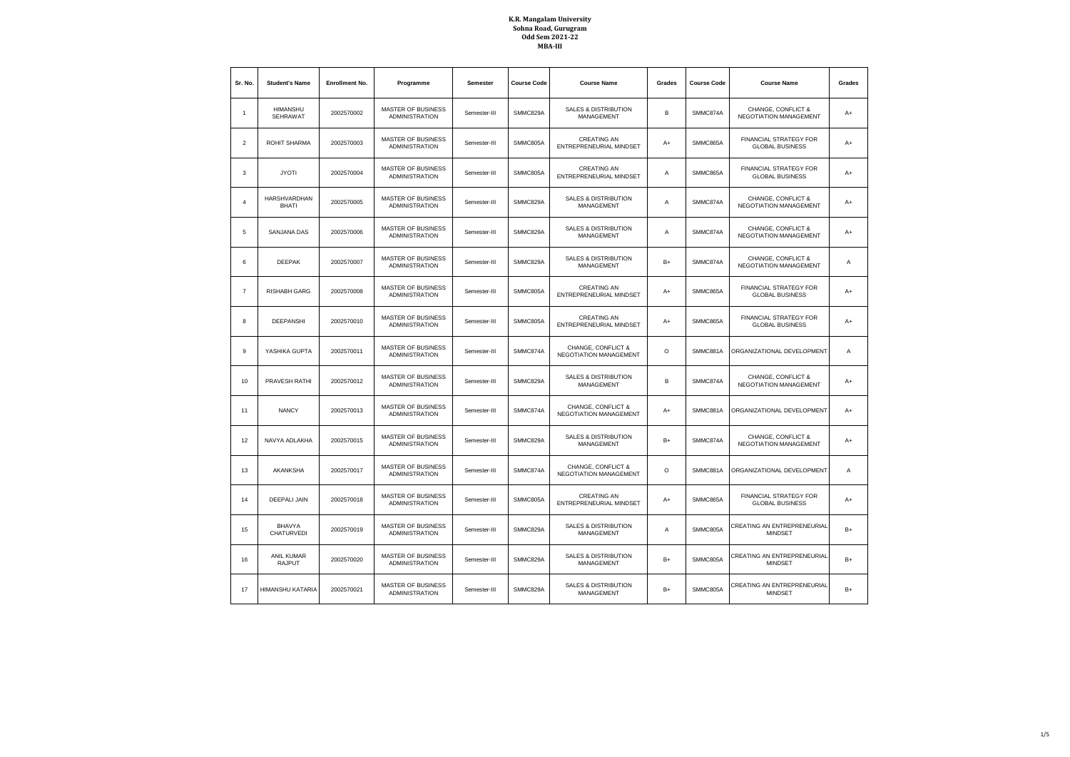| Sr. No.        | <b>Student's Name</b>               | <b>Enrollment No.</b> | Programme                                          | <b>Semester</b> | <b>Course Code</b> | <b>Course Name</b>                                   | Grades  | <b>Course Code</b> | <b>Course Name</b>                                      | Grades |
|----------------|-------------------------------------|-----------------------|----------------------------------------------------|-----------------|--------------------|------------------------------------------------------|---------|--------------------|---------------------------------------------------------|--------|
| $\mathbf{1}$   | <b>HIMANSHU</b><br>SEHRAWAT         | 2002570002            | MASTER OF BUSINESS<br><b>ADMINISTRATION</b>        | Semester-III    | SMMC829A           | <b>SALES &amp; DISTRIBUTION</b><br>MANAGEMENT        | B       | SMMC874A           | CHANGE, CONFLICT &<br>NEGOTIATION MANAGEMENT            | $A+$   |
| $\mathbf 2$    | ROHIT SHARMA                        | 2002570003            | MASTER OF BUSINESS<br><b>ADMINISTRATION</b>        | Semester-III    | SMMC805A           | CREATING AN<br>ENTREPRENEURIAL MINDSET               | $A+$    | SMMC865A           | FINANCIAL STRATEGY FOR<br><b>GLOBAL BUSINESS</b>        | $A+$   |
| 3              | <b>JYOTI</b>                        | 2002570004            | MASTER OF BUSINESS<br><b>ADMINISTRATION</b>        | Semester-III    | SMMC805A           | <b>CREATING AN</b><br>ENTREPRENEURIAL MINDSET        | Α       | SMMC865A           | FINANCIAL STRATEGY FOR<br><b>GLOBAL BUSINESS</b>        | $A+$   |
| $\overline{4}$ | <b>HARSHVARDHAN</b><br><b>BHATI</b> | 2002570005            | MASTER OF BUSINESS<br><b>ADMINISTRATION</b>        | Semester-III    | SMMC829A           | SALES & DISTRIBUTION<br>MANAGEMENT                   | Α       | SMMC874A           | CHANGE, CONFLICT &<br>NEGOTIATION MANAGEMENT            | $A+$   |
| 5              | SANJANA DAS                         | 2002570006            | MASTER OF BUSINESS<br><b>ADMINISTRATION</b>        | Semester-III    | SMMC829A           | <b>SALES &amp; DISTRIBUTION</b><br>MANAGEMENT        | Α       | SMMC874A           | CHANGE, CONFLICT &<br>NEGOTIATION MANAGEMENT            | $A+$   |
| 6              | <b>DEEPAK</b>                       | 2002570007            | <b>MASTER OF BUSINESS</b><br><b>ADMINISTRATION</b> | Semester-III    | SMMC829A           | <b>SALES &amp; DISTRIBUTION</b><br>MANAGEMENT        | $B+$    | SMMC874A           | CHANGE, CONFLICT &<br>NEGOTIATION MANAGEMENT            | A      |
| $\overline{7}$ | <b>RISHABH GARG</b>                 | 2002570008            | MASTER OF BUSINESS<br><b>ADMINISTRATION</b>        | Semester-III    | SMMC805A           | <b>CREATING AN</b><br>ENTREPRENEURIAL MINDSET        | $A+$    | SMMC865A           | FINANCIAL STRATEGY FOR<br><b>GLOBAL BUSINESS</b>        | $A+$   |
| 8              | <b>DEEPANSHI</b>                    | 2002570010            | <b>MASTER OF BUSINESS</b><br><b>ADMINISTRATION</b> | Semester-III    | SMMC805A           | <b>CREATING AN</b><br>ENTREPRENEURIAL MINDSET        | $A+$    | SMMC865A           | FINANCIAL STRATEGY FOR<br><b>GLOBAL BUSINESS</b>        | $A+$   |
| 9              | YASHIKA GUPTA                       | 2002570011            | MASTER OF BUSINESS<br><b>ADMINISTRATION</b>        | Semester-III    | SMMC874A           | CHANGE, CONFLICT &<br>NEGOTIATION MANAGEMENT         | $\circ$ | SMMC881A           | ORGANIZATIONAL DEVELOPMENT                              | Α      |
| 10             | PRAVESH RATHI                       | 2002570012            | <b>MASTER OF BUSINESS</b><br><b>ADMINISTRATION</b> | Semester-III    | SMMC829A           | <b>SALES &amp; DISTRIBUTION</b><br>MANAGEMENT        | B       | SMMC874A           | CHANGE, CONFLICT &<br>NEGOTIATION MANAGEMENT            | $A+$   |
| 11             | <b>NANCY</b>                        | 2002570013            | MASTER OF BUSINESS<br><b>ADMINISTRATION</b>        | Semester-III    | SMMC874A           | CHANGE, CONFLICT &<br>NEGOTIATION MANAGEMENT         | A+      | SMMC881A           | ORGANIZATIONAL DEVELOPMENT                              | A+     |
| 12             | NAVYA ADLAKHA                       | 2002570015            | <b>MASTER OF BUSINESS</b><br><b>ADMINISTRATION</b> | Semester-III    | SMMC829A           | <b>SALES &amp; DISTRIBUTION</b><br>MANAGEMENT        | $B+$    | SMMC874A           | CHANGE, CONFLICT &<br>NEGOTIATION MANAGEMENT            | $A+$   |
| 13             | AKANKSHA                            | 2002570017            | MASTER OF BUSINESS<br><b>ADMINISTRATION</b>        | Semester-III    | SMMC874A           | CHANGE, CONFLICT &<br>NEGOTIATION MANAGEMENT         | $\circ$ | SMMC881A           | ORGANIZATIONAL DEVELOPMENT                              | Α      |
| 14             | <b>DEEPALI JAIN</b>                 | 2002570018            | <b>MASTER OF BUSINESS</b><br><b>ADMINISTRATION</b> | Semester-III    | SMMC805A           | <b>CREATING AN</b><br>ENTREPRENEURIAL MINDSET        | $A+$    | SMMC865A           | <b>FINANCIAL STRATEGY FOR</b><br><b>GLOBAL BUSINESS</b> | $A+$   |
| 15             | <b>BHAVYA</b><br>CHATURVEDI         | 2002570019            | MASTER OF BUSINESS<br><b>ADMINISTRATION</b>        | Semester-III    | SMMC829A           | <b>SALES &amp; DISTRIBUTION</b><br>MANAGEMENT        | Α       | SMMC805A           | CREATING AN ENTREPRENEURIAL<br><b>MINDSET</b>           | $B+$   |
| 16             | <b>ANIL KUMAR</b><br><b>RAJPUT</b>  | 2002570020            | <b>MASTER OF BUSINESS</b><br><b>ADMINISTRATION</b> | Semester-III    | SMMC829A           | <b>SALES &amp; DISTRIBUTION</b><br><b>MANAGEMENT</b> | $B+$    | SMMC805A           | CREATING AN ENTREPRENEURIAL<br><b>MINDSET</b>           | $B+$   |
| 17             | HIMANSHU KATARIA                    | 2002570021            | MASTER OF BUSINESS<br><b>ADMINISTRATION</b>        | Semester-III    | SMMC829A           | <b>SALES &amp; DISTRIBUTION</b><br>MANAGEMENT        | $B+$    | SMMC805A           | CREATING AN ENTREPRENEURIAL<br><b>MINDSET</b>           | $B+$   |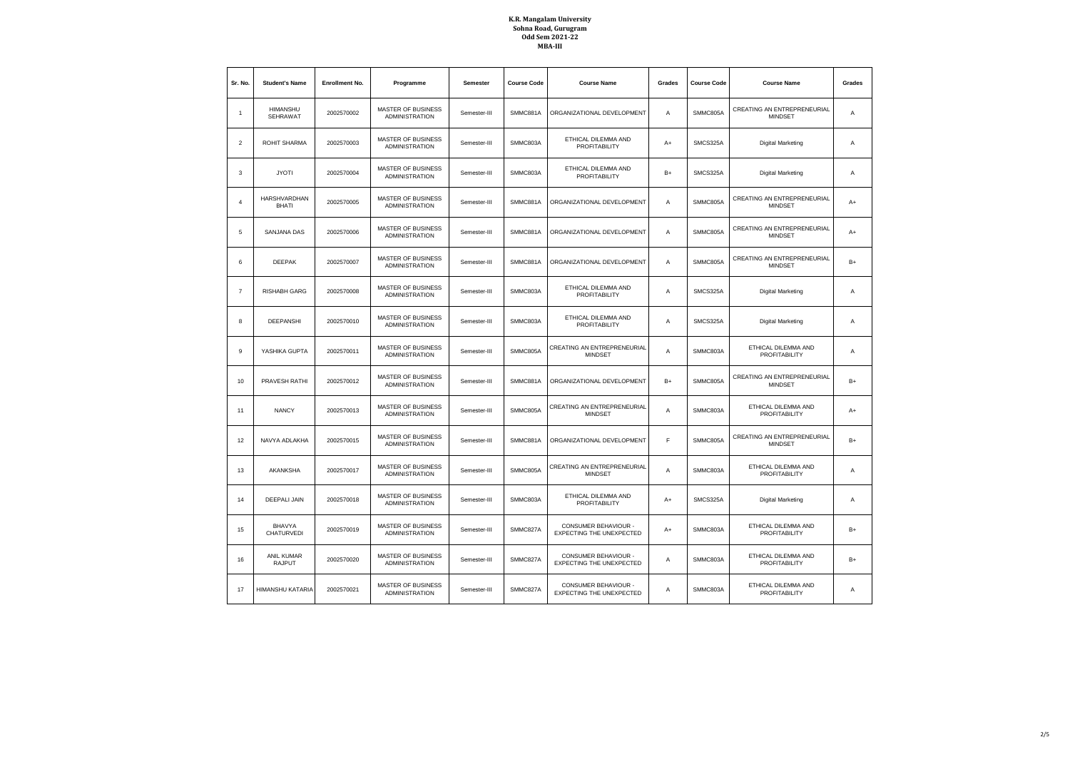| Sr. No.        | <b>Student's Name</b>              | <b>Enrollment No.</b> | Programme                                          | Semester     | <b>Course Code</b> | <b>Course Name</b><br>Grades                                      |               | <b>Course Code</b>                   | <b>Course Name</b>                            | Grades |
|----------------|------------------------------------|-----------------------|----------------------------------------------------|--------------|--------------------|-------------------------------------------------------------------|---------------|--------------------------------------|-----------------------------------------------|--------|
| -1             | <b>HIMANSHU</b><br><b>SEHRAWAT</b> | 2002570002            | <b>MASTER OF BUSINESS</b><br><b>ADMINISTRATION</b> | Semester-III | SMMC881A           | ORGANIZATIONAL DEVELOPMENT                                        | Α<br>SMMC805A |                                      | CREATING AN ENTREPRENEURIAL<br><b>MINDSET</b> | A      |
| $\overline{2}$ | ROHIT SHARMA                       | 2002570003            | <b>MASTER OF BUSINESS</b><br><b>ADMINISTRATION</b> | Semester-III | SMMC803A           | ETHICAL DILEMMA AND<br>PROFITABILITY                              | $A+$          | SMCS325A                             | <b>Digital Marketing</b>                      | Α      |
| 3              | <b>JYOTI</b>                       | 2002570004            | <b>MASTER OF BUSINESS</b><br><b>ADMINISTRATION</b> | Semester-III | SMMC803A           | ETHICAL DILEMMA AND<br><b>PROFITABILITY</b>                       | $B+$          | SMCS325A                             | <b>Digital Marketing</b>                      | A      |
| $\overline{4}$ | HARSHVARDHAN<br><b>BHATI</b>       | 2002570005            | <b>MASTER OF BUSINESS</b><br><b>ADMINISTRATION</b> | Semester-III | SMMC881A           | ORGANIZATIONAL DEVELOPMENT                                        | Α             | SMMC805A                             | CREATING AN ENTREPRENEURIAL<br><b>MINDSET</b> | $A+$   |
| 5              | SANJANA DAS                        | 2002570006            | <b>MASTER OF BUSINESS</b><br><b>ADMINISTRATION</b> | Semester-III | SMMC881A           | ORGANIZATIONAL DEVELOPMENT                                        | Α             | SMMC805A                             | CREATING AN ENTREPRENEURIAL<br><b>MINDSET</b> | $A+$   |
| 6              | <b>DEEPAK</b>                      | 2002570007            | <b>MASTER OF BUSINESS</b><br><b>ADMINISTRATION</b> | Semester-III | SMMC881A           | ORGANIZATIONAL DEVELOPMENT                                        | Α             | SMMC805A                             | CREATING AN ENTREPRENEURIAL<br><b>MINDSET</b> | $B+$   |
| $\overline{7}$ | <b>RISHABH GARG</b>                | 2002570008            | <b>MASTER OF BUSINESS</b><br><b>ADMINISTRATION</b> | Semester-III | SMMC803A           | ETHICAL DILEMMA AND<br><b>PROFITABILITY</b>                       | Α             | SMCS325A                             | Digital Marketing                             | A      |
| 8              | DEEPANSHI                          | 2002570010            | MASTER OF BUSINESS<br><b>ADMINISTRATION</b>        | Semester-III | SMMC803A           | ETHICAL DILEMMA AND<br>PROFITABILITY                              | A             | SMCS325A                             | Digital Marketing                             | Α      |
| $\overline{9}$ | YASHIKA GUPTA                      | 2002570011            | <b>MASTER OF BUSINESS</b><br><b>ADMINISTRATION</b> | Semester-III | SMMC805A           | CREATING AN ENTREPRENEURIAL<br><b>MINDSET</b>                     | A             | SMMC803A                             | ETHICAL DILEMMA AND<br><b>PROFITABILITY</b>   | A      |
| 10             | PRAVESH RATHI                      | 2002570012            | <b>MASTER OF BUSINESS</b><br><b>ADMINISTRATION</b> | Semester-III | SMMC881A           | ORGANIZATIONAL DEVELOPMENT                                        | $B+$          | SMMC805A                             | CREATING AN ENTREPRENEURIAL<br><b>MINDSET</b> | $B+$   |
| 11             | <b>NANCY</b>                       | 2002570013            | <b>MASTER OF BUSINESS</b><br><b>ADMINISTRATION</b> | Semester-III | SMMC805A           | CREATING AN ENTREPRENEURIAL<br><b>MINDSET</b>                     | A             | SMMC803A                             | ETHICAL DILEMMA AND<br><b>PROFITABILITY</b>   | $A+$   |
| 12             | NAVYA ADLAKHA                      | 2002570015            | MASTER OF BUSINESS<br><b>ADMINISTRATION</b>        | Semester-III | SMMC881A           | ORGANIZATIONAL DEVELOPMENT                                        | F             | SMMC805A                             | CREATING AN ENTREPRENEURIAL<br><b>MINDSET</b> | $B+$   |
| 13             | AKANKSHA                           | 2002570017            | <b>MASTER OF BUSINESS</b><br><b>ADMINISTRATION</b> | Semester-III | SMMC805A           | CREATING AN ENTREPRENEURIAL<br><b>MINDSET</b>                     | A             | SMMC803A                             | ETHICAL DILEMMA AND<br><b>PROFITABILITY</b>   | A      |
| 14             | <b>DEEPALI JAIN</b>                | 2002570018            | <b>MASTER OF BUSINESS</b><br><b>ADMINISTRATION</b> | Semester-III | SMMC803A           | ETHICAL DILEMMA AND<br>$A+$<br>PROFITABILITY                      |               | SMCS325A                             | Digital Marketing                             | Α      |
| 15             | <b>BHAVYA</b><br>CHATURVEDI        | 2002570019            | MASTER OF BUSINESS<br><b>ADMINISTRATION</b>        | Semester-III | SMMC827A           | CONSUMER BEHAVIOUR -<br>EXPECTING THE UNEXPECTED                  | $A+$          | SMMC803A                             | ETHICAL DILEMMA AND<br>PROFITABILITY          | $B+$   |
| 16             | <b>ANIL KUMAR</b><br>RAJPUT        | 2002570020            | <b>MASTER OF BUSINESS</b><br><b>ADMINISTRATION</b> | Semester-III | SMMC827A           | CONSUMER BEHAVIOUR -<br>A<br>EXPECTING THE UNEXPECTED             |               | SMMC803A                             | ETHICAL DILEMMA AND<br>PROFITABILITY          | $B+$   |
| 17             | HIMANSHU KATARIA                   | 2002570021            | MASTER OF BUSINESS<br><b>ADMINISTRATION</b>        | Semester-III | SMMC827A           | CONSUMER BEHAVIOUR -<br>Α<br>SMMC803A<br>EXPECTING THE UNEXPECTED |               | ETHICAL DILEMMA AND<br>PROFITABILITY | Α                                             |        |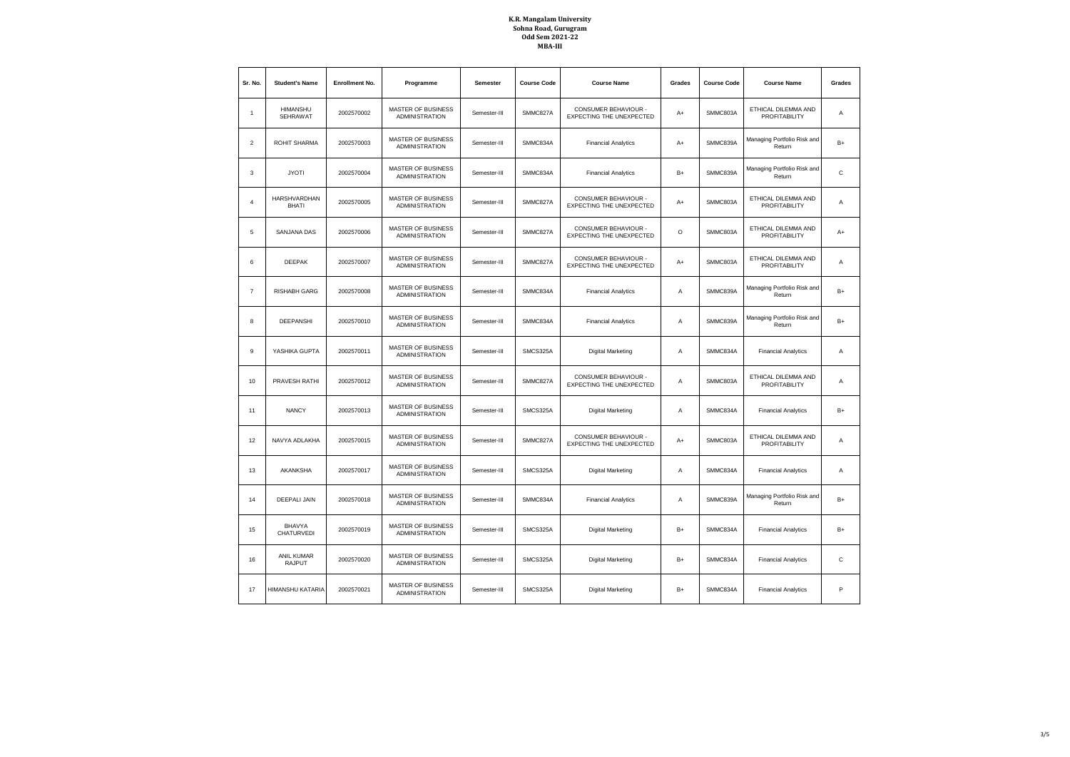| Sr. No.        | <b>Student's Name</b>               | <b>Enrollment No.</b> | Programme                                          | <b>Semester</b> | <b>Course Code</b> | <b>Course Name</b>                                      | Grades  | <b>Course Code</b> | <b>Course Name</b>                          | Grades       |
|----------------|-------------------------------------|-----------------------|----------------------------------------------------|-----------------|--------------------|---------------------------------------------------------|---------|--------------------|---------------------------------------------|--------------|
| $\overline{1}$ | <b>HIMANSHU</b><br>SEHRAWAT         | 2002570002            | MASTER OF BUSINESS<br><b>ADMINISTRATION</b>        | Semester-III    | SMMC827A           | CONSUMER BEHAVIOUR -<br>EXPECTING THE UNEXPECTED        | $A+$    | SMMC803A           | ETHICAL DILEMMA AND<br>PROFITABILITY        | Α            |
| $\overline{2}$ | ROHIT SHARMA                        | 2002570003            | MASTER OF BUSINESS<br><b>ADMINISTRATION</b>        | Semester-III    | SMMC834A           | <b>Financial Analytics</b>                              | $A+$    | SMMC839A           | Managing Portfolio Risk and<br>Return       | $B+$         |
| 3              | <b>JYOTI</b>                        | 2002570004            | MASTER OF BUSINESS<br><b>ADMINISTRATION</b>        | Semester-III    | SMMC834A           | <b>Financial Analytics</b>                              | $B+$    | SMMC839A           | Managing Portfolio Risk and<br>Return       | C            |
| $\overline{4}$ | <b>HARSHVARDHAN</b><br><b>BHATI</b> | 2002570005            | MASTER OF BUSINESS<br><b>ADMINISTRATION</b>        | Semester-III    | SMMC827A           | CONSUMER BEHAVIOUR -<br>EXPECTING THE UNEXPECTED        | $A+$    | SMMC803A           | ETHICAL DILEMMA AND<br><b>PROFITABILITY</b> | A            |
| 5              | <b>SANJANA DAS</b>                  | 2002570006            | MASTER OF BUSINESS<br><b>ADMINISTRATION</b>        | Semester-III    | SMMC827A           | CONSUMER BEHAVIOUR -<br>EXPECTING THE UNEXPECTED        | $\circ$ | SMMC803A           | ETHICAL DILEMMA AND<br>PROFITABILITY        | $A+$         |
| 6              | <b>DEEPAK</b>                       | 2002570007            | MASTER OF BUSINESS<br><b>ADMINISTRATION</b>        | Semester-III    | SMMC827A           | CONSUMER BEHAVIOUR -<br>EXPECTING THE UNEXPECTED        | $A+$    | SMMC803A           | ETHICAL DILEMMA AND<br><b>PROFITABILITY</b> | A            |
| $\overline{7}$ | <b>RISHABH GARG</b>                 | 2002570008            | MASTER OF BUSINESS<br><b>ADMINISTRATION</b>        | Semester-III    | SMMC834A           | <b>Financial Analytics</b>                              | Α       | SMMC839A           | Managing Portfolio Risk and<br>Return       | $B+$         |
| 8              | <b>DEEPANSHI</b>                    | 2002570010            | MASTER OF BUSINESS<br><b>ADMINISTRATION</b>        | Semester-III    | SMMC834A           | <b>Financial Analytics</b>                              | Α       | SMMC839A           | Managing Portfolio Risk and<br>Return       | $B+$         |
| 9              | YASHIKA GUPTA                       | 2002570011            | MASTER OF BUSINESS<br><b>ADMINISTRATION</b>        | Semester-III    | SMCS325A           | <b>Digital Marketing</b>                                | Α       | SMMC834A           | <b>Financial Analytics</b>                  | Α            |
| 10             | PRAVESH RATHI                       | 2002570012            | <b>MASTER OF BUSINESS</b><br><b>ADMINISTRATION</b> | Semester-III    | SMMC827A           | CONSUMER BEHAVIOUR -<br><b>EXPECTING THE UNEXPECTED</b> | A       | SMMC803A           | ETHICAL DILEMMA AND<br>PROFITABILITY        | Α            |
| 11             | <b>NANCY</b>                        | 2002570013            | MASTER OF BUSINESS<br><b>ADMINISTRATION</b>        | Semester-III    | SMCS325A           | <b>Digital Marketing</b>                                | Α       | SMMC834A           | <b>Financial Analytics</b>                  | $B+$         |
| 12             | NAVYA ADLAKHA                       | 2002570015            | MASTER OF BUSINESS<br><b>ADMINISTRATION</b>        | Semester-III    | SMMC827A           | CONSUMER BEHAVIOUR -<br><b>EXPECTING THE UNEXPECTED</b> | $A+$    | SMMC803A           | ETHICAL DILEMMA AND<br>PROFITABILITY        | Α            |
| 13             | AKANKSHA                            | 2002570017            | MASTER OF BUSINESS<br><b>ADMINISTRATION</b>        | Semester-III    | SMCS325A           | <b>Digital Marketing</b>                                | Α       | SMMC834A           | <b>Financial Analytics</b>                  | Α            |
| 14             | <b>DEEPALI JAIN</b>                 | 2002570018            | <b>MASTER OF BUSINESS</b><br><b>ADMINISTRATION</b> | Semester-III    | SMMC834A           | <b>Financial Analytics</b>                              | A       | SMMC839A           | Managing Portfolio Risk and<br>Return       | $B+$         |
| 15             | <b>BHAVYA</b><br>CHATURVEDI         | 2002570019            | MASTER OF BUSINESS<br><b>ADMINISTRATION</b>        | Semester-III    | SMCS325A           | <b>Digital Marketing</b>                                | $B+$    | SMMC834A           | <b>Financial Analytics</b>                  | $B+$         |
| 16             | <b>ANIL KUMAR</b><br><b>RAJPUT</b>  | 2002570020            | <b>MASTER OF BUSINESS</b><br><b>ADMINISTRATION</b> | Semester-III    | SMCS325A           | <b>Digital Marketing</b>                                | $B+$    | SMMC834A           | <b>Financial Analytics</b>                  | $\mathsf{C}$ |
| 17             | HIMANSHU KATARIA                    | 2002570021            | MASTER OF BUSINESS<br><b>ADMINISTRATION</b>        | Semester-III    | SMCS325A           | <b>Digital Marketing</b>                                | $B+$    | SMMC834A           | <b>Financial Analytics</b>                  | P            |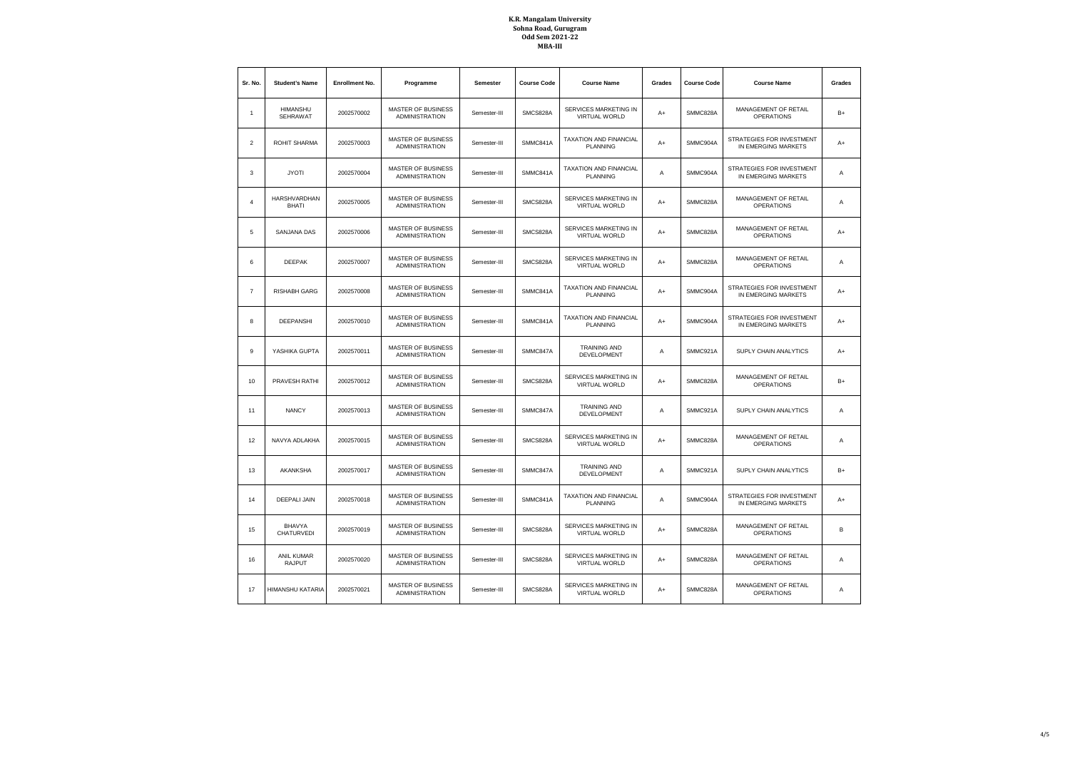| Sr. No.        | <b>Student's Name</b>              | <b>Enrollment No.</b> | Programme                                          | Semester     | <b>Course Code</b> | <b>Course Name</b>                                   | Grades | <b>Course Code</b>                                           | <b>Course Name</b>                               | Grades |
|----------------|------------------------------------|-----------------------|----------------------------------------------------|--------------|--------------------|------------------------------------------------------|--------|--------------------------------------------------------------|--------------------------------------------------|--------|
| $\mathbf{1}$   | <b>HIMANSHU</b><br><b>SEHRAWAT</b> | 2002570002            | <b>MASTER OF BUSINESS</b><br><b>ADMINISTRATION</b> | Semester-III | SMCS828A           | SERVICES MARKETING IN<br><b>VIRTUAL WORLD</b>        | A+     | SMMC828A                                                     | MANAGEMENT OF RETAIL<br><b>OPERATIONS</b>        | $B+$   |
| $\overline{2}$ | ROHIT SHARMA                       | 2002570003            | <b>MASTER OF BUSINESS</b><br><b>ADMINISTRATION</b> | Semester-III | SMMC841A           | TAXATION AND FINANCIAL<br>PLANNING                   | A+     | SMMC904A                                                     | STRATEGIES FOR INVESTMENT<br>IN EMERGING MARKETS | A+     |
| 3              | <b>JYOTI</b>                       | 2002570004            | <b>MASTER OF BUSINESS</b><br><b>ADMINISTRATION</b> | Semester-III | SMMC841A           | TAXATION AND FINANCIAL<br><b>PLANNING</b>            | Α      | SMMC904A                                                     | STRATEGIES FOR INVESTMENT<br>IN EMERGING MARKETS | А      |
| $\Delta$       | HARSHVARDHAN<br><b>BHATI</b>       | 2002570005            | <b>MASTER OF BUSINESS</b><br><b>ADMINISTRATION</b> | Semester-III | SMCS828A           | SERVICES MARKETING IN<br><b>VIRTUAL WORLD</b>        | A+     | SMMC828A                                                     | MANAGEMENT OF RETAIL<br><b>OPERATIONS</b>        | А      |
| 5              | SANJANA DAS                        | 2002570006            | <b>MASTER OF BUSINESS</b><br><b>ADMINISTRATION</b> | Semester-III | SMCS828A           | SERVICES MARKETING IN<br><b>VIRTUAL WORLD</b>        | A+     | SMMC828A                                                     | MANAGEMENT OF RETAIL<br><b>OPERATIONS</b>        | A+     |
| 6              | <b>DEEPAK</b>                      | 2002570007            | MASTER OF BUSINESS<br><b>ADMINISTRATION</b>        | Semester-III | SMCS828A           | SERVICES MARKETING IN<br><b>VIRTUAL WORLD</b>        | $A+$   | SMMC828A                                                     | MANAGEMENT OF RETAIL<br><b>OPERATIONS</b>        | А      |
| $\overline{7}$ | <b>RISHABH GARG</b>                | 2002570008            | <b>MASTER OF BUSINESS</b><br><b>ADMINISTRATION</b> | Semester-III | SMMC841A           | TAXATION AND FINANCIAL<br><b>PLANNING</b>            | A+     | SMMC904A                                                     | STRATEGIES FOR INVESTMENT<br>IN EMERGING MARKETS | $A+$   |
| 8              | <b>DEEPANSHI</b>                   | 2002570010            | MASTER OF BUSINESS<br><b>ADMINISTRATION</b>        | Semester-III | SMMC841A           | TAXATION AND FINANCIAL<br>PLANNING                   | $A+$   | SMMC904A                                                     | STRATEGIES FOR INVESTMENT<br>IN EMERGING MARKETS | $A+$   |
| $\overline{9}$ | YASHIKA GUPTA                      | 2002570011            | <b>MASTER OF BUSINESS</b><br><b>ADMINISTRATION</b> | Semester-III | SMMC847A           | <b>TRAINING AND</b><br>DEVELOPMENT                   | Α      | SMMC921A                                                     | SUPLY CHAIN ANALYTICS                            | A+     |
| 10             | PRAVESH RATHI                      | 2002570012            | MASTER OF BUSINESS<br><b>ADMINISTRATION</b>        | Semester-III | SMCS828A           | SERVICES MARKETING IN<br><b>VIRTUAL WORLD</b>        | $A+$   | SMMC828A                                                     | MANAGEMENT OF RETAIL<br><b>OPERATIONS</b>        | $B+$   |
| 11             | <b>NANCY</b>                       | 2002570013            | <b>MASTER OF BUSINESS</b><br><b>ADMINISTRATION</b> | Semester-III | SMMC847A           | <b>TRAINING AND</b><br><b>DEVELOPMENT</b>            | Α      | SMMC921A                                                     | SUPLY CHAIN ANALYTICS                            | А      |
| 12             | NAVYA ADLAKHA                      | 2002570015            | <b>MASTER OF BUSINESS</b><br><b>ADMINISTRATION</b> | Semester-III | SMCS828A           | <b>SERVICES MARKETING IN</b><br><b>VIRTUAL WORLD</b> | $A+$   | SMMC828A                                                     | MANAGEMENT OF RETAIL<br><b>OPERATIONS</b>        | А      |
| 13             | AKANKSHA                           | 2002570017            | <b>MASTER OF BUSINESS</b><br><b>ADMINISTRATION</b> | Semester-III | SMMC847A           | <b>TRAINING AND</b><br>DEVELOPMENT                   | Α      | SMMC921A<br>SUPLY CHAIN ANALYTICS                            |                                                  | $B+$   |
| 14             | <b>DEEPALI JAIN</b>                | 2002570018            | <b>MASTER OF BUSINESS</b><br><b>ADMINISTRATION</b> | Semester-III | SMMC841A           | TAXATION AND FINANCIAL<br><b>PLANNING</b>            | Α      | STRATEGIES FOR INVESTMENT<br>SMMC904A<br>IN EMERGING MARKETS |                                                  | $A+$   |
| 15             | <b>BHAVYA</b><br>CHATURVEDI        | 2002570019            | <b>MASTER OF BUSINESS</b><br><b>ADMINISTRATION</b> | Semester-III | SMCS828A           | <b>SERVICES MARKETING IN</b><br>VIRTUAL WORLD        | A+     | SMMC828A                                                     | MANAGEMENT OF RETAIL<br><b>OPERATIONS</b>        | B      |
| 16             | <b>ANIL KUMAR</b><br>RAJPUT        | 2002570020            | <b>MASTER OF BUSINESS</b><br><b>ADMINISTRATION</b> | Semester-III | SMCS828A           | SERVICES MARKETING IN<br><b>VIRTUAL WORLD</b>        | $A+$   | SMMC828A                                                     | MANAGEMENT OF RETAIL<br><b>OPERATIONS</b>        | A      |
| 17             | HIMANSHU KATARIA                   | 2002570021            | MASTER OF BUSINESS<br><b>ADMINISTRATION</b>        | Semester-III | SMCS828A           | SERVICES MARKETING IN<br><b>VIRTUAL WORLD</b>        | A+     | SMMC828A                                                     | MANAGEMENT OF RETAIL<br><b>OPERATIONS</b>        | Α      |